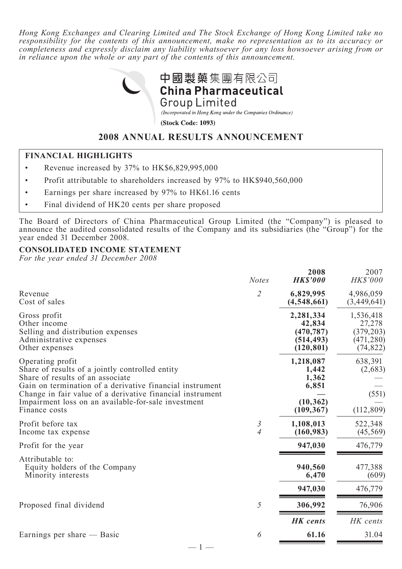*Hong Kong Exchanges and Clearing Limited and The Stock Exchange of Hong Kong Limited take no responsibility for the contents of this announcement, make no representation as to its accuracy or completeness and expressly disclaim any liability whatsoever for any loss howsoever arising from or in reliance upon the whole or any part of the contents of this announcement.*



## **2008 ANNUAL RESULTS ANNOUNCEMENT**

### **FINANCIAL HIGHLIGHTS**

- Revenue increased by 37% to HK\$6,829,995,000
- Profit attributable to shareholders increased by 97% to HK\$940,560,000
- Earnings per share increased by 97% to HK61.16 cents
- Final dividend of HK20 cents per share proposed

The Board of Directors of China Pharmaceutical Group Limited (the "Company") is pleased to announce the audited consolidated results of the Company and its subsidiaries (the "Group") for the year ended 31 December 2008.

### **CONSOLIDATED INCOME STATEMENT**

*For the year ended 31 December 2008*

|                                                                                                                                                                                                                                                                                                          | <b>Notes</b>                     | 2008<br><b>HK\$'000</b>                                         | 2007<br>HK\$'000                                             |
|----------------------------------------------------------------------------------------------------------------------------------------------------------------------------------------------------------------------------------------------------------------------------------------------------------|----------------------------------|-----------------------------------------------------------------|--------------------------------------------------------------|
| Revenue<br>Cost of sales                                                                                                                                                                                                                                                                                 | 2                                | 6,829,995<br>(4,548,661)                                        | 4,986,059<br>(3,449,641)                                     |
| Gross profit<br>Other income<br>Selling and distribution expenses<br>Administrative expenses<br>Other expenses                                                                                                                                                                                           |                                  | 2,281,334<br>42,834<br>(470, 787)<br>(514, 493)<br>(120, 801)   | 1,536,418<br>27,278<br>(379, 203)<br>(471, 280)<br>(74, 822) |
| Operating profit<br>Share of results of a jointly controlled entity<br>Share of results of an associate<br>Gain on termination of a derivative financial instrument<br>Change in fair value of a derivative financial instrument<br>Impairment loss on an available-for-sale investment<br>Finance costs |                                  | 1,218,087<br>1,442<br>1,362<br>6,851<br>(10, 362)<br>(109, 367) | 638,391<br>(2,683)<br>(551)<br>(112, 809)                    |
| Profit before tax<br>Income tax expense                                                                                                                                                                                                                                                                  | $\mathfrak{Z}$<br>$\overline{A}$ | 1,108,013<br>(160, 983)                                         | 522,348<br>(45, 569)                                         |
| Profit for the year                                                                                                                                                                                                                                                                                      |                                  | 947,030                                                         | 476,779                                                      |
| Attributable to:<br>Equity holders of the Company<br>Minority interests                                                                                                                                                                                                                                  |                                  | 940,560<br>6,470                                                | 477,388<br>(609)                                             |
|                                                                                                                                                                                                                                                                                                          |                                  | 947,030                                                         | 476,779                                                      |
| Proposed final dividend                                                                                                                                                                                                                                                                                  | 5                                | 306,992                                                         | 76,906                                                       |
|                                                                                                                                                                                                                                                                                                          |                                  | <b>HK</b> cents                                                 | HK cents                                                     |
| Earnings per share — Basic<br>$-1-$                                                                                                                                                                                                                                                                      | 6                                | 61.16                                                           | 31.04                                                        |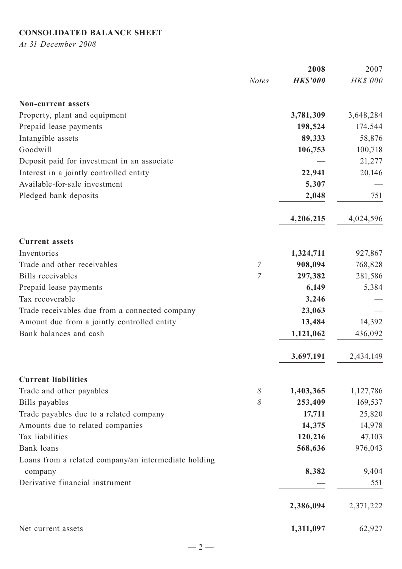# **CONSOLIDATED BALANCE SHEET**

*At 31 December 2008*

|                                                      |                | 2008            | 2007      |
|------------------------------------------------------|----------------|-----------------|-----------|
|                                                      | <b>Notes</b>   | <b>HK\$'000</b> | HK\$'000  |
| <b>Non-current assets</b>                            |                |                 |           |
| Property, plant and equipment                        |                | 3,781,309       | 3,648,284 |
| Prepaid lease payments                               |                | 198,524         | 174,544   |
| Intangible assets                                    |                | 89,333          | 58,876    |
| Goodwill                                             |                | 106,753         | 100,718   |
| Deposit paid for investment in an associate          |                |                 | 21,277    |
| Interest in a jointly controlled entity              |                | 22,941          | 20,146    |
| Available-for-sale investment                        |                | 5,307           |           |
| Pledged bank deposits                                |                | 2,048           | 751       |
|                                                      |                | 4,206,215       | 4,024,596 |
| <b>Current assets</b>                                |                |                 |           |
| Inventories                                          |                | 1,324,711       | 927,867   |
| Trade and other receivables                          | $\mathcal I$   | 908,094         | 768,828   |
| <b>Bills</b> receivables                             | $\overline{7}$ | 297,382         | 281,586   |
| Prepaid lease payments                               |                | 6,149           | 5,384     |
| Tax recoverable                                      |                | 3,246           |           |
| Trade receivables due from a connected company       |                | 23,063          |           |
| Amount due from a jointly controlled entity          |                | 13,484          | 14,392    |
| Bank balances and cash                               |                | 1,121,062       | 436,092   |
|                                                      |                | 3,697,191       | 2,434,149 |
| <b>Current liabilities</b>                           |                |                 |           |
| Trade and other payables                             | 8              | 1,403,365       | 1,127,786 |
| Bills payables                                       | 8              | 253,409         | 169,537   |
| Trade payables due to a related company              |                | 17,711          | 25,820    |
| Amounts due to related companies                     |                | 14,375          | 14,978    |
| Tax liabilities                                      |                | 120,216         | 47,103    |
| Bank loans                                           |                | 568,636         | 976,043   |
| Loans from a related company/an intermediate holding |                |                 |           |
| company                                              |                | 8,382           | 9,404     |
| Derivative financial instrument                      |                |                 | 551       |
|                                                      |                | 2,386,094       | 2,371,222 |
| Net current assets                                   |                | 1,311,097       | 62,927    |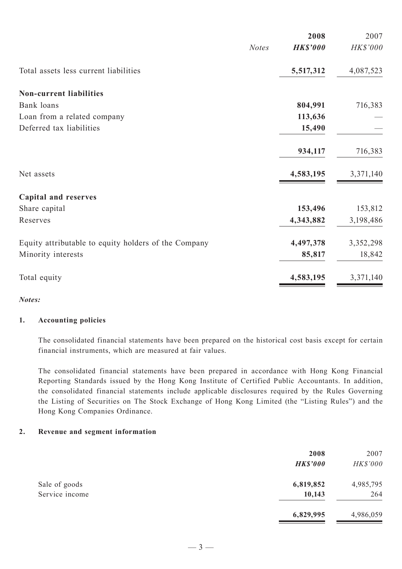| 2008                            | 2007                 |
|---------------------------------|----------------------|
| <b>HK\$'000</b><br><b>Notes</b> | HK\$'000             |
| 5,517,312                       | 4,087,523            |
|                                 |                      |
| 804,991                         | 716,383              |
| 113,636                         |                      |
| 15,490                          |                      |
|                                 | 716,383              |
|                                 |                      |
| 4,583,195                       | 3,371,140            |
|                                 |                      |
| 153,496                         | 153,812              |
| 4,343,882                       | 3,198,486            |
|                                 | 3,352,298            |
| 85,817                          | 18,842               |
| 4,583,195                       | 3,371,140            |
|                                 | 934,117<br>4,497,378 |

*Notes:*

#### **1. Accounting policies**

The consolidated financial statements have been prepared on the historical cost basis except for certain financial instruments, which are measured at fair values.

The consolidated financial statements have been prepared in accordance with Hong Kong Financial Reporting Standards issued by the Hong Kong Institute of Certified Public Accountants. In addition, the consolidated financial statements include applicable disclosures required by the Rules Governing the Listing of Securities on The Stock Exchange of Hong Kong Limited (the "Listing Rules") and the Hong Kong Companies Ordinance.

#### **2. Revenue and segment information**

|                | 2008<br><b>HK\$'000</b> | 2007<br>HK\$'000 |
|----------------|-------------------------|------------------|
| Sale of goods  | 6,819,852               | 4,985,795        |
| Service income | 10,143                  | 264              |
|                | 6,829,995               | 4,986,059        |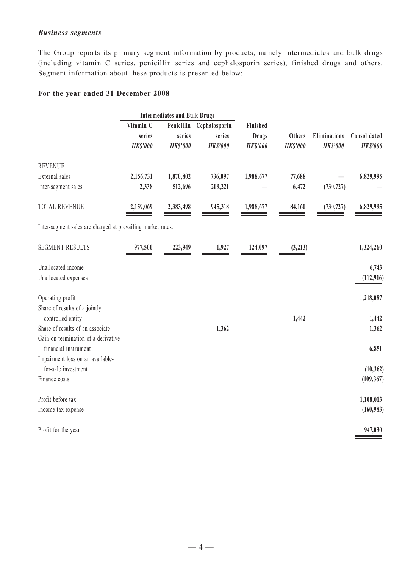#### *Business segments*

The Group reports its primary segment information by products, namely intermediates and bulk drugs (including vitamin C series, penicillin series and cephalosporin series), finished drugs and others. Segment information about these products is presented below:

### **For the year ended 31 December 2008**

|                                                                                                 | <b>Intermediates and Bulk Drugs</b>    |                           |                                                       |                                      |                           |                                 |                                 |
|-------------------------------------------------------------------------------------------------|----------------------------------------|---------------------------|-------------------------------------------------------|--------------------------------------|---------------------------|---------------------------------|---------------------------------|
|                                                                                                 | Vitamin C<br>series<br><b>HK\$'000</b> | series<br><b>HK\$'000</b> | Penicillin Cephalosporin<br>series<br><b>HK\$'000</b> | Finished<br>Drugs<br><b>HK\$'000</b> | Others<br><b>HK\$'000</b> | Eliminations<br><b>HK\$'000</b> | Consolidated<br><b>HK\$'000</b> |
| <b>REVENUE</b>                                                                                  |                                        |                           |                                                       |                                      |                           |                                 |                                 |
| External sales                                                                                  | 2,156,731                              | 1,870,802                 | 736,097                                               | 1,988,677                            | 77,688                    |                                 | 6,829,995                       |
| Inter-segment sales                                                                             | 2,338                                  | 512,696                   | 209,221                                               |                                      | 6,472                     | (730, 727)                      |                                 |
| <b>TOTAL REVENUE</b>                                                                            | 2,159,069                              | 2,383,498                 | 945,318                                               | 1,988,677                            | 84,160                    | (730, 727)                      | 6,829,995                       |
| Inter-segment sales are charged at prevailing market rates.                                     |                                        |                           |                                                       |                                      |                           |                                 |                                 |
| <b>SEGMENT RESULTS</b>                                                                          | 977,500                                | 223,949                   | 1,927                                                 | 124,097                              | (3, 213)                  |                                 | 1,324,260                       |
| Unallocated income                                                                              |                                        |                           |                                                       |                                      |                           |                                 | 6,743                           |
| Unallocated expenses                                                                            |                                        |                           |                                                       |                                      |                           |                                 | (112, 916)                      |
| Operating profit                                                                                |                                        |                           |                                                       |                                      |                           |                                 | 1,218,087                       |
| Share of results of a jointly<br>controlled entity                                              |                                        |                           |                                                       |                                      | 1,442                     |                                 | 1,442                           |
| Share of results of an associate                                                                |                                        |                           | 1,362                                                 |                                      |                           |                                 | 1,362                           |
| Gain on termination of a derivative<br>financial instrument<br>Impairment loss on an available- |                                        |                           |                                                       |                                      |                           |                                 | 6,851                           |
| for-sale investment                                                                             |                                        |                           |                                                       |                                      |                           |                                 | (10, 362)                       |
| Finance costs                                                                                   |                                        |                           |                                                       |                                      |                           |                                 | (109, 367)                      |
| Profit before tax                                                                               |                                        |                           |                                                       |                                      |                           |                                 | 1,108,013                       |
| Income tax expense                                                                              |                                        |                           |                                                       |                                      |                           |                                 | (160, 983)                      |
| Profit for the year                                                                             |                                        |                           |                                                       |                                      |                           |                                 | 947,030                         |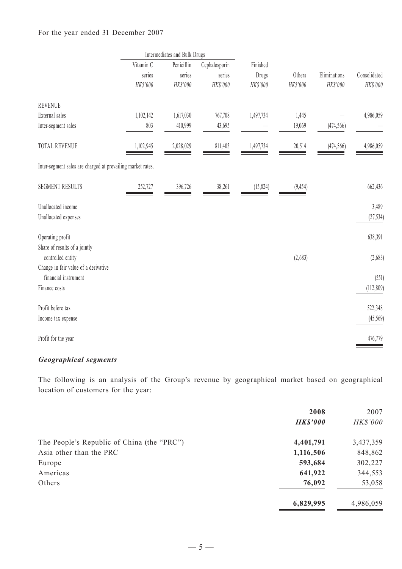### For the year ended 31 December 2007

|                                                             |           | Intermediates and Bulk Drugs |               |           |          |              |              |  |
|-------------------------------------------------------------|-----------|------------------------------|---------------|-----------|----------|--------------|--------------|--|
|                                                             | Vitamin C | Penicillin                   | Cephalosporin | Finished  |          |              |              |  |
|                                                             | series    | series                       | series        | Drugs     | Others   | Eliminations | Consolidated |  |
|                                                             | HK\$'000  | HK\$'000                     | HK\$'000      | HK\$'000  | HK\$'000 | HK\$'000     | HK\$'000     |  |
| <b>REVENUE</b>                                              |           |                              |               |           |          |              |              |  |
| External sales                                              | 1,102,142 | 1,617,030                    | 767,708       | 1,497,734 | 1,445    |              | 4,986,059    |  |
| Inter-segment sales                                         | 803       | 410,999                      | 43,695        |           | 19,069   | (474, 566)   |              |  |
| TOTAL REVENUE                                               | 1,102,945 | 2,028,029                    | 811,403       | 1,497,734 | 20,514   | (474, 566)   | 4,986,059    |  |
| Inter-segment sales are charged at prevailing market rates. |           |                              |               |           |          |              |              |  |
| <b>SEGMENT RESULTS</b>                                      | 252,727   | 396,726                      | 38,261        | (15, 824) | (9, 454) |              | 662,436      |  |
| Unallocated income                                          |           |                              |               |           |          |              | 3,489        |  |
| Unallocated expenses                                        |           |                              |               |           |          |              | (27, 534)    |  |
| Operating profit                                            |           |                              |               |           |          |              | 638,391      |  |
| Share of results of a jointly                               |           |                              |               |           |          |              |              |  |
| controlled entity                                           |           |                              |               |           | (2,683)  |              | (2,683)      |  |
| Change in fair value of a derivative                        |           |                              |               |           |          |              |              |  |
| financial instrument                                        |           |                              |               |           |          |              | (551)        |  |
| Finance costs                                               |           |                              |               |           |          |              | (112, 809)   |  |
| Profit before tax                                           |           |                              |               |           |          |              | 522,348      |  |
| Income tax expense                                          |           |                              |               |           |          |              | (45,569)     |  |
| Profit for the year                                         |           |                              |               |           |          |              | 476,779      |  |

### *Geographical segments*

The following is an analysis of the Group's revenue by geographical market based on geographical location of customers for the year:

|                                            | 2008            | 2007      |
|--------------------------------------------|-----------------|-----------|
|                                            | <b>HK\$'000</b> | HK\$'000  |
| The People's Republic of China (the "PRC") | 4,401,791       | 3,437,359 |
| Asia other than the PRC                    | 1,116,506       | 848,862   |
| Europe                                     | 593,684         | 302,227   |
| Americas                                   | 641,922         | 344,553   |
| Others                                     | 76,092          | 53,058    |
|                                            | 6,829,995       | 4,986,059 |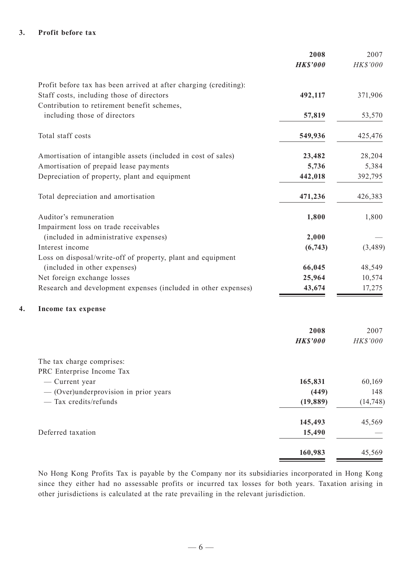### **3. Profit before tax**

|                                                                   | 2008            | 2007      |
|-------------------------------------------------------------------|-----------------|-----------|
|                                                                   | <b>HK\$'000</b> | HK\$'000  |
| Profit before tax has been arrived at after charging (crediting): |                 |           |
| Staff costs, including those of directors                         | 492,117         | 371,906   |
| Contribution to retirement benefit schemes,                       |                 |           |
| including those of directors                                      | 57,819          | 53,570    |
| Total staff costs                                                 | 549,936         | 425,476   |
| Amortisation of intangible assets (included in cost of sales)     | 23,482          | 28,204    |
| Amortisation of prepaid lease payments                            | 5,736           | 5,384     |
| Depreciation of property, plant and equipment                     | 442,018         | 392,795   |
| Total depreciation and amortisation                               | 471,236         | 426,383   |
| Auditor's remuneration                                            | 1,800           | 1,800     |
| Impairment loss on trade receivables                              |                 |           |
| (included in administrative expenses)                             | 2,000           |           |
| Interest income                                                   | (6,743)         | (3,489)   |
| Loss on disposal/write-off of property, plant and equipment       |                 |           |
| (included in other expenses)                                      | 66,045          | 48,549    |
| Net foreign exchange losses                                       | 25,964          | 10,574    |
| Research and development expenses (included in other expenses)    | 43,674          | 17,275    |
| Income tax expense                                                |                 |           |
|                                                                   | 2008            | 2007      |
|                                                                   | <b>HK\$'000</b> | HK\$'000  |
| The tax charge comprises:                                         |                 |           |
| PRC Enterprise Income Tax                                         |                 |           |
| - Current year                                                    | 165,831         | 60,169    |
| - (Over)underprovision in prior years                             | (449)           | 148       |
| - Tax credits/refunds                                             | (19, 889)       | (14, 748) |
|                                                                   | 145,493         | 45,569    |
| Deferred taxation                                                 | 15,490          |           |
|                                                                   | 160,983         | 45,569    |

No Hong Kong Profits Tax is payable by the Company nor its subsidiaries incorporated in Hong Kong since they either had no assessable profits or incurred tax losses for both years. Taxation arising in other jurisdictions is calculated at the rate prevailing in the relevant jurisdiction.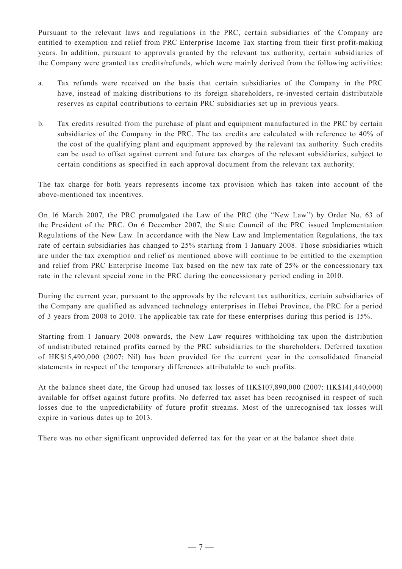Pursuant to the relevant laws and regulations in the PRC, certain subsidiaries of the Company are entitled to exemption and relief from PRC Enterprise Income Tax starting from their first profit-making years. In addition, pursuant to approvals granted by the relevant tax authority, certain subsidiaries of the Company were granted tax credits/refunds, which were mainly derived from the following activities:

- a. Tax refunds were received on the basis that certain subsidiaries of the Company in the PRC have, instead of making distributions to its foreign shareholders, re-invested certain distributable reserves as capital contributions to certain PRC subsidiaries set up in previous years.
- b. Tax credits resulted from the purchase of plant and equipment manufactured in the PRC by certain subsidiaries of the Company in the PRC. The tax credits are calculated with reference to 40% of the cost of the qualifying plant and equipment approved by the relevant tax authority. Such credits can be used to offset against current and future tax charges of the relevant subsidiaries, subject to certain conditions as specified in each approval document from the relevant tax authority.

The tax charge for both years represents income tax provision which has taken into account of the above-mentioned tax incentives.

On 16 March 2007, the PRC promulgated the Law of the PRC (the "New Law") by Order No. 63 of the President of the PRC. On 6 December 2007, the State Council of the PRC issued Implementation Regulations of the New Law. In accordance with the New Law and Implementation Regulations, the tax rate of certain subsidiaries has changed to 25% starting from 1 January 2008. Those subsidiaries which are under the tax exemption and relief as mentioned above will continue to be entitled to the exemption and relief from PRC Enterprise Income Tax based on the new tax rate of 25% or the concessionary tax rate in the relevant special zone in the PRC during the concessionary period ending in 2010.

During the current year, pursuant to the approvals by the relevant tax authorities, certain subsidiaries of the Company are qualified as advanced technology enterprises in Hebei Province, the PRC for a period of 3 years from 2008 to 2010. The applicable tax rate for these enterprises during this period is 15%.

Starting from 1 January 2008 onwards, the New Law requires withholding tax upon the distribution of undistributed retained profits earned by the PRC subsidiaries to the shareholders. Deferred taxation of HK\$15,490,000 (2007: Nil) has been provided for the current year in the consolidated financial statements in respect of the temporary differences attributable to such profits.

At the balance sheet date, the Group had unused tax losses of HK\$107,890,000 (2007: HK\$141,440,000) available for offset against future profits. No deferred tax asset has been recognised in respect of such losses due to the unpredictability of future profit streams. Most of the unrecognised tax losses will expire in various dates up to 2013.

There was no other significant unprovided deferred tax for the year or at the balance sheet date.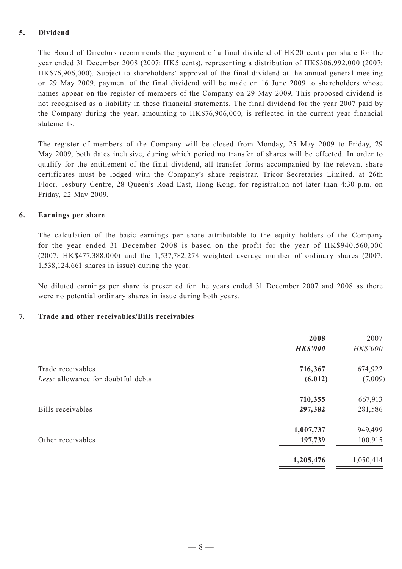### **5. Dividend**

The Board of Directors recommends the payment of a final dividend of HK20 cents per share for the year ended 31 December 2008 (2007: HK5 cents), representing a distribution of HK\$306,992,000 (2007: HK\$76,906,000). Subject to shareholders' approval of the final dividend at the annual general meeting on 29 May 2009, payment of the final dividend will be made on 16 June 2009 to shareholders whose names appear on the register of members of the Company on 29 May 2009. This proposed dividend is not recognised as a liability in these financial statements. The final dividend for the year 2007 paid by the Company during the year, amounting to HK\$76,906,000, is reflected in the current year financial statements.

The register of members of the Company will be closed from Monday, 25 May 2009 to Friday, 29 May 2009, both dates inclusive, during which period no transfer of shares will be effected. In order to qualify for the entitlement of the final dividend, all transfer forms accompanied by the relevant share certificates must be lodged with the Company's share registrar, Tricor Secretaries Limited, at 26th Floor, Tesbury Centre, 28 Queen's Road East, Hong Kong, for registration not later than 4:30 p.m. on Friday, 22 May 2009.

#### **6. Earnings per share**

The calculation of the basic earnings per share attributable to the equity holders of the Company for the year ended 31 December 2008 is based on the profit for the year of HK\$940,560,000 (2007: HK\$477,388,000) and the 1,537,782,278 weighted average number of ordinary shares (2007: 1,538,124,661 shares in issue) during the year.

No diluted earnings per share is presented for the years ended 31 December 2007 and 2008 as there were no potential ordinary shares in issue during both years.

#### **7. Trade and other receivables/Bills receivables**

|                                    | 2008<br><b>HK\$'000</b> | 2007<br>HK\$'000 |
|------------------------------------|-------------------------|------------------|
| Trade receivables                  | 716,367                 | 674,922          |
| Less: allowance for doubtful debts | (6, 012)                | (7,009)          |
|                                    | 710,355                 | 667,913          |
| Bills receivables                  | 297,382                 | 281,586          |
|                                    | 1,007,737               | 949,499          |
| Other receivables                  | 197,739                 | 100,915          |
|                                    | 1,205,476               | 1,050,414        |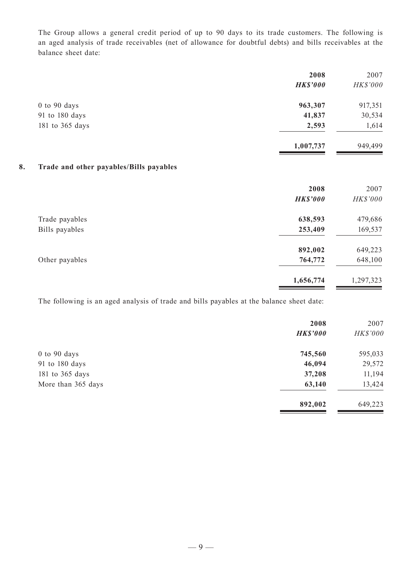The Group allows a general credit period of up to 90 days to its trade customers. The following is an aged analysis of trade receivables (net of allowance for doubtful debts) and bills receivables at the balance sheet date:

|                                               | 2008<br><b>HK\$'000</b> | 2007<br>HK\$'000 |
|-----------------------------------------------|-------------------------|------------------|
| 0 to 90 days                                  | 963,307                 | 917,351          |
| 91 to 180 days                                | 41,837                  | 30,534           |
| 181 to 365 days                               | 2,593                   | 1,614            |
|                                               | 1,007,737               | 949,499          |
| 8.<br>Trade and other payables/Bills payables |                         |                  |
|                                               | 2008                    | 2007             |
|                                               | <b>HK\$'000</b>         | HK\$'000         |
| Trade payables                                | 638,593                 | 479,686          |
| Bills payables                                | 253,409                 | 169,537          |
|                                               | 892,002                 | 649,223          |
| Other payables                                | 764,772                 | 648,100          |
|                                               | 1,656,774               | 1,297,323        |

The following is an aged analysis of trade and bills payables at the balance sheet date:

|                    | 2008<br><b>HK\$'000</b> | 2007<br>HK\$'000 |
|--------------------|-------------------------|------------------|
| $0$ to 90 days     | 745,560                 | 595,033          |
| 91 to 180 days     | 46,094                  | 29,572           |
| 181 to 365 days    | 37,208                  | 11,194           |
| More than 365 days | 63,140                  | 13,424           |
|                    | 892,002                 | 649,223          |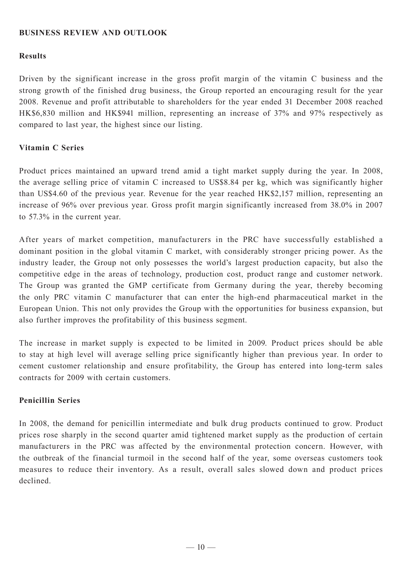## **BUSINESS REVIEW AND OUTLOOK**

### **Results**

Driven by the significant increase in the gross profit margin of the vitamin C business and the strong growth of the finished drug business, the Group reported an encouraging result for the year 2008. Revenue and profit attributable to shareholders for the year ended 31 December 2008 reached HK\$6,830 million and HK\$941 million, representing an increase of 37% and 97% respectively as compared to last year, the highest since our listing.

### **Vitamin C Series**

Product prices maintained an upward trend amid a tight market supply during the year. In 2008, the average selling price of vitamin C increased to US\$8.84 per kg, which was significantly higher than US\$4.60 of the previous year. Revenue for the year reached HK\$2,157 million, representing an increase of 96% over previous year. Gross profit margin significantly increased from 38.0% in 2007 to 57.3% in the current year.

After years of market competition, manufacturers in the PRC have successfully established a dominant position in the global vitamin C market, with considerably stronger pricing power. As the industry leader, the Group not only possesses the world's largest production capacity, but also the competitive edge in the areas of technology, production cost, product range and customer network. The Group was granted the GMP certificate from Germany during the year, thereby becoming the only PRC vitamin C manufacturer that can enter the high-end pharmaceutical market in the European Union. This not only provides the Group with the opportunities for business expansion, but also further improves the profitability of this business segment.

The increase in market supply is expected to be limited in 2009. Product prices should be able to stay at high level will average selling price significantly higher than previous year. In order to cement customer relationship and ensure profitability, the Group has entered into long-term sales contracts for 2009 with certain customers.

#### **Penicillin Series**

In 2008, the demand for penicillin intermediate and bulk drug products continued to grow. Product prices rose sharply in the second quarter amid tightened market supply as the production of certain manufacturers in the PRC was affected by the environmental protection concern. However, with the outbreak of the financial turmoil in the second half of the year, some overseas customers took measures to reduce their inventory. As a result, overall sales slowed down and product prices declined.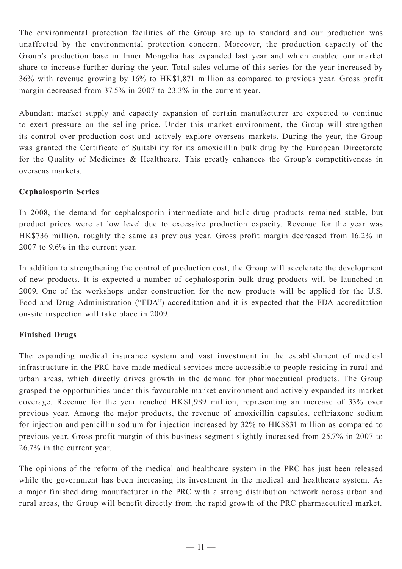The environmental protection facilities of the Group are up to standard and our production was unaffected by the environmental protection concern. Moreover, the production capacity of the Group's production base in Inner Mongolia has expanded last year and which enabled our market share to increase further during the year. Total sales volume of this series for the year increased by 36% with revenue growing by 16% to HK\$1,871 million as compared to previous year. Gross profit margin decreased from 37.5% in 2007 to 23.3% in the current year.

Abundant market supply and capacity expansion of certain manufacturer are expected to continue to exert pressure on the selling price. Under this market environment, the Group will strengthen its control over production cost and actively explore overseas markets. During the year, the Group was granted the Certificate of Suitability for its amoxicillin bulk drug by the European Directorate for the Quality of Medicines & Healthcare. This greatly enhances the Group's competitiveness in overseas markets.

## **Cephalosporin Series**

In 2008, the demand for cephalosporin intermediate and bulk drug products remained stable, but product prices were at low level due to excessive production capacity. Revenue for the year was HK\$736 million, roughly the same as previous year. Gross profit margin decreased from 16.2% in 2007 to 9.6% in the current year.

In addition to strengthening the control of production cost, the Group will accelerate the development of new products. It is expected a number of cephalosporin bulk drug products will be launched in 2009. One of the workshops under construction for the new products will be applied for the U.S. Food and Drug Administration ("FDA") accreditation and it is expected that the FDA accreditation on-site inspection will take place in 2009.

## **Finished Drugs**

The expanding medical insurance system and vast investment in the establishment of medical infrastructure in the PRC have made medical services more accessible to people residing in rural and urban areas, which directly drives growth in the demand for pharmaceutical products. The Group grasped the opportunities under this favourable market environment and actively expanded its market coverage. Revenue for the year reached HK\$1,989 million, representing an increase of 33% over previous year. Among the major products, the revenue of amoxicillin capsules, ceftriaxone sodium for injection and penicillin sodium for injection increased by 32% to HK\$831 million as compared to previous year. Gross profit margin of this business segment slightly increased from 25.7% in 2007 to 26.7% in the current year.

The opinions of the reform of the medical and healthcare system in the PRC has just been released while the government has been increasing its investment in the medical and healthcare system. As a major finished drug manufacturer in the PRC with a strong distribution network across urban and rural areas, the Group will benefit directly from the rapid growth of the PRC pharmaceutical market.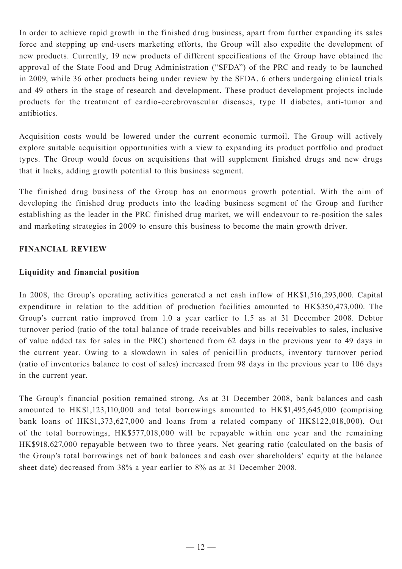In order to achieve rapid growth in the finished drug business, apart from further expanding its sales force and stepping up end-users marketing efforts, the Group will also expedite the development of new products. Currently, 19 new products of different specifications of the Group have obtained the approval of the State Food and Drug Administration ("SFDA") of the PRC and ready to be launched in 2009, while 36 other products being under review by the SFDA, 6 others undergoing clinical trials and 49 others in the stage of research and development. These product development projects include products for the treatment of cardio-cerebrovascular diseases, type II diabetes, anti-tumor and antibiotics.

Acquisition costs would be lowered under the current economic turmoil. The Group will actively explore suitable acquisition opportunities with a view to expanding its product portfolio and product types. The Group would focus on acquisitions that will supplement finished drugs and new drugs that it lacks, adding growth potential to this business segment.

The finished drug business of the Group has an enormous growth potential. With the aim of developing the finished drug products into the leading business segment of the Group and further establishing as the leader in the PRC finished drug market, we will endeavour to re-position the sales and marketing strategies in 2009 to ensure this business to become the main growth driver.

## **FINANCIAL REVIEW**

## **Liquidity and financial position**

In 2008, the Group's operating activities generated a net cash inflow of HK\$1,516,293,000. Capital expenditure in relation to the addition of production facilities amounted to HK\$350,473,000. The Group's current ratio improved from 1.0 a year earlier to 1.5 as at 31 December 2008. Debtor turnover period (ratio of the total balance of trade receivables and bills receivables to sales, inclusive of value added tax for sales in the PRC) shortened from 62 days in the previous year to 49 days in the current year. Owing to a slowdown in sales of penicillin products, inventory turnover period (ratio of inventories balance to cost of sales) increased from 98 days in the previous year to 106 days in the current year.

The Group's financial position remained strong. As at 31 December 2008, bank balances and cash amounted to HK\$1,123,110,000 and total borrowings amounted to HK\$1,495,645,000 (comprising bank loans of HK\$1,373,627,000 and loans from a related company of HK\$122,018,000). Out of the total borrowings, HK\$577,018,000 will be repayable within one year and the remaining HK\$918,627,000 repayable between two to three years. Net gearing ratio (calculated on the basis of the Group's total borrowings net of bank balances and cash over shareholders' equity at the balance sheet date) decreased from 38% a year earlier to 8% as at 31 December 2008.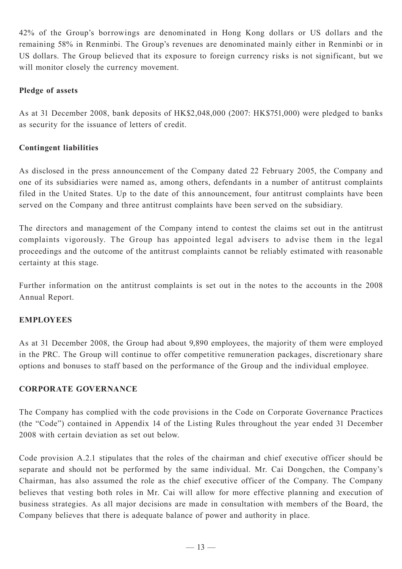42% of the Group's borrowings are denominated in Hong Kong dollars or US dollars and the remaining 58% in Renminbi. The Group's revenues are denominated mainly either in Renminbi or in US dollars. The Group believed that its exposure to foreign currency risks is not significant, but we will monitor closely the currency movement.

## **Pledge of assets**

As at 31 December 2008, bank deposits of HK\$2,048,000 (2007: HK\$751,000) were pledged to banks as security for the issuance of letters of credit.

## **Contingent liabilities**

As disclosed in the press announcement of the Company dated 22 February 2005, the Company and one of its subsidiaries were named as, among others, defendants in a number of antitrust complaints filed in the United States. Up to the date of this announcement, four antitrust complaints have been served on the Company and three antitrust complaints have been served on the subsidiary.

The directors and management of the Company intend to contest the claims set out in the antitrust complaints vigorously. The Group has appointed legal advisers to advise them in the legal proceedings and the outcome of the antitrust complaints cannot be reliably estimated with reasonable certainty at this stage.

Further information on the antitrust complaints is set out in the notes to the accounts in the 2008 Annual Report.

### **EMPLOYEES**

As at 31 December 2008, the Group had about 9,890 employees, the majority of them were employed in the PRC. The Group will continue to offer competitive remuneration packages, discretionary share options and bonuses to staff based on the performance of the Group and the individual employee.

### **CORPORATE GOVERNANCE**

The Company has complied with the code provisions in the Code on Corporate Governance Practices (the "Code") contained in Appendix 14 of the Listing Rules throughout the year ended 31 December 2008 with certain deviation as set out below.

Code provision A.2.1 stipulates that the roles of the chairman and chief executive officer should be separate and should not be performed by the same individual. Mr. Cai Dongchen, the Company's Chairman, has also assumed the role as the chief executive officer of the Company. The Company believes that vesting both roles in Mr. Cai will allow for more effective planning and execution of business strategies. As all major decisions are made in consultation with members of the Board, the Company believes that there is adequate balance of power and authority in place.